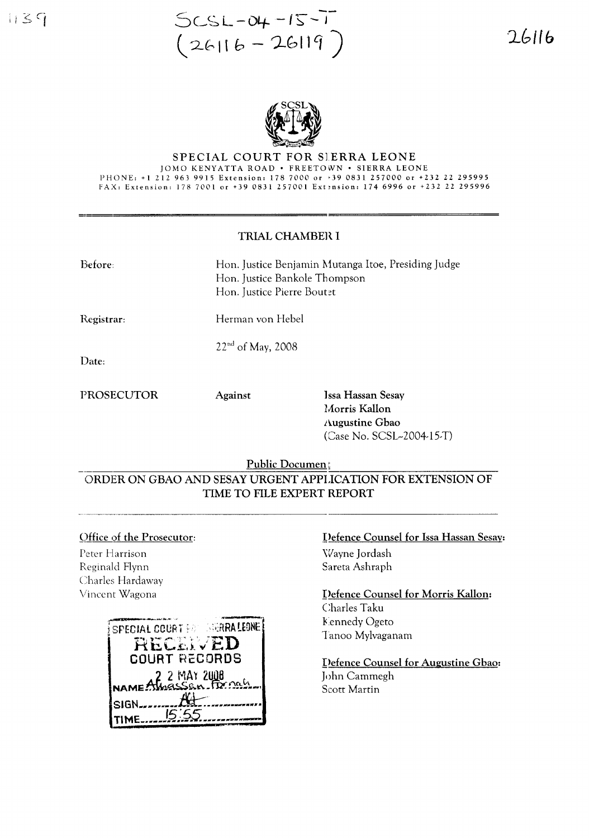$1139$ 

# $SCSL-04-15-7$ <br> $(26116-26119)$

26116



## SPECIAL COURT FOR SIERRA LEONE JOMO KENYATTA ROAD • FREETOWN • SIERRA LEONE<br>PHONE: +1 212 963 9915 Extension: 178 7000 or +39 0831 257000 or +232 22 295995 FAX: Extension: 178 7001 or +39 0831 257001 Extension: 174 6996 or +232 22 295996

### TRIAL CHAMBER I

| <b>Before:</b> | Hon. Justice Benjamin Mutanga Itoe, Presiding Judge<br>Hon. Justice Bankole Thompson<br>Hon. Justice Pierre Boutet |                                    |
|----------------|--------------------------------------------------------------------------------------------------------------------|------------------------------------|
| Registrar:     | Herman von Hebel                                                                                                   |                                    |
| Date:          | $22nd$ of May, 2008                                                                                                |                                    |
| PROSECUTOR     | <b>Against</b>                                                                                                     | Issa Hassan Sesay<br>Morris Kallon |

Augustine Gbao (Case No. SCSL-2004-15-T)

Public Documen:

ORDER ON GBAO AND SESAY URGENT APPLICATION FOR EXTENSION OF TIME TO FILE EXPERT REPORT

#### Office of the Prosecutor:

Peter Harrison Reginald Flynn Charles Hardaway Vincent Wagona



Defence Counsel for Issa Hassan Sesay: Wayne Jordash Sareta Ashraph

Defence Counsel for Morris Kallon: Charles Taku Kennedy Ogeto Tanoo Mylvaganam

Defence Counsel for Augustine Gbao: John Cammegh Scott Martin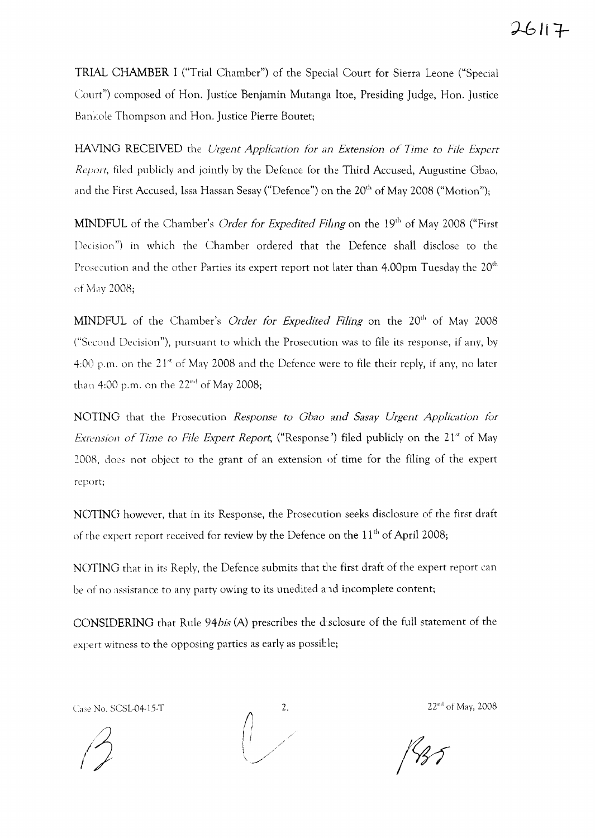TRIAL CHAMBER I ("Trial Chamber") of the Special Court for Sierra Leone ("Special Court") composed of Hon. Justice Benjamin Mutanga Itoe, Presiding Judge, Hon. Justice Bankole Thompson and Hon. Justice Pierre Boutet;

HAVING RECEIVED the *Urgent Application for an Extension of Time to File Expert Report,* filed publicly and jointly by the Defence for the Third Accused, Augustine Gbao, and the First Accused, Issa Hassan Sesay ("Defence") on the 20<sup>th</sup> of May 2008 ("Motion");

MINDFUL of the Chamber's *Order for Expedited Filing* on the 19<sup>th</sup> of May 2008 ("First Decision") in which the Chamber ordered that the Defence shall disclose to the Prosecution and the other Parties its expert report not later than 4.00pm Tuesday the 20<sup>th</sup> of May 2008;

MINDFUL of the Chamber's *Order for Expedited Filing* on the 20<sup>th</sup> of May 2008 ("Second Decision"), pursuant to which the Prosecution was to file its response, if any, by 4:00 p.m. on the  $21<sup>*</sup>$  of May 2008 and the Defence were to file their reply, if any, no later than  $4:00$  p.m. on the  $22<sup>nd</sup>$  of May 2008;

NOTING that the Prosecution *Response to Gbao and Sasay Urgent Application for Extension of Time to File Expert Report*, ("Response") filed publicly on the 21<sup>st</sup> of May 2008, does not object to the grant of an extension of time for the filing of the expert report;

NOTING however, that in its Response, the Prosecution seeks disclosure of the first draft of the expert report received for review by the Defence on the  $11<sup>th</sup>$  of April 2008;

NOTING that in its Reply, the Defence submits that the first draft of the expert report can be of no assistance to any party owing to its unedited and incomplete content;

CONSIDERING that Rule *94bis* (A) prescribes the dsclosure of the full statement of the expert witness to the opposing parties as early as possible;

Case No. SCSL04-15-T

 $\mathcal{A}$ //



2.  $22^{nd}$  of May, 2008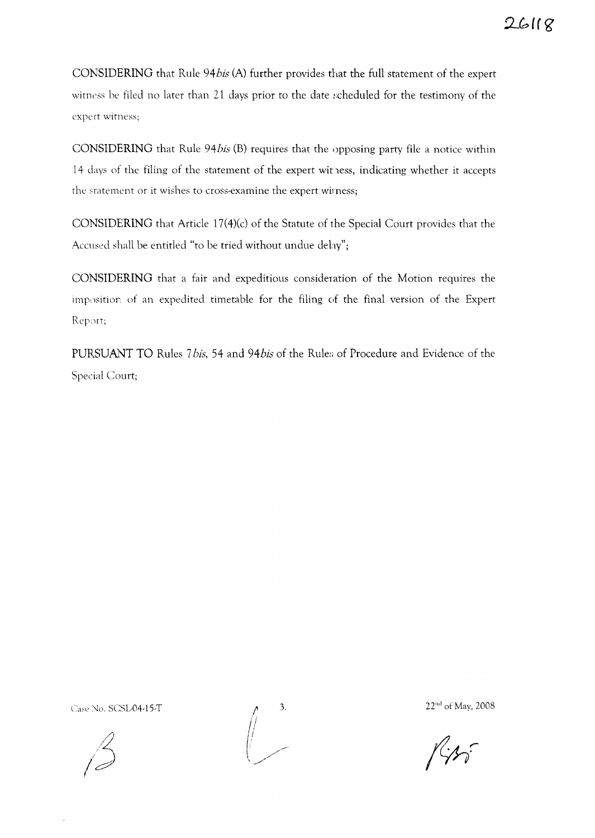CONSIDERING that Rule *94bis* (A) further provides that the full statement of the expert witness be filed no later than 21 days prior to the date scheduled for the testimony of the expert witness;

CONSIDERING that Rule *94bis* (B) requires that the opposing party file a notice within 14 days of the filing of the statement of the expert witness, indicating whether it accepts the statement or it wishes to cross-examine the expert witness;

CONSIDERING that Article 17(4)(c) of the Statute of the Special Court provides that the Accused shall be entitled "to be tried without undue dehy";

CONSIDERING that a fair and expeditious considetation of the Motion requires the imposition of an expedited timetable for the filing of the final version of the Expert Report;

PURSUANT TO Rules 7*bis*, 54 and 94*bis* of the Rules of Procedure and Evidence of the Special Court;



Case No. SCSL-04-15-T  $A = 3$ . 22<sup>nd</sup> of May, 2008